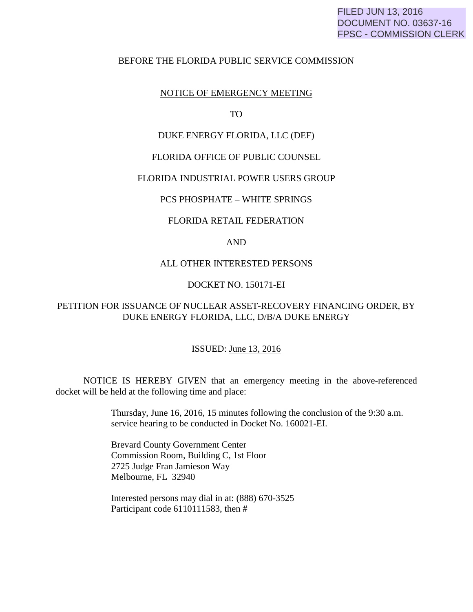## BEFORE THE FLORIDA PUBLIC SERVICE COMMISSION

## NOTICE OF EMERGENCY MEETING

TO

## DUKE ENERGY FLORIDA, LLC (DEF)

### FLORIDA OFFICE OF PUBLIC COUNSEL

## FLORIDA INDUSTRIAL POWER USERS GROUP

### PCS PHOSPHATE – WHITE SPRINGS

#### FLORIDA RETAIL FEDERATION

## AND

## ALL OTHER INTERESTED PERSONS

## DOCKET NO. 150171-EI

# PETITION FOR ISSUANCE OF NUCLEAR ASSET-RECOVERY FINANCING ORDER, BY DUKE ENERGY FLORIDA, LLC, D/B/A DUKE ENERGY

#### ISSUED: June 13, 2016

 NOTICE IS HEREBY GIVEN that an emergency meeting in the above-referenced docket will be held at the following time and place:

> Thursday, June 16, 2016, 15 minutes following the conclusion of the 9:30 a.m. service hearing to be conducted in Docket No. 160021-EI.

 Brevard County Government Center Commission Room, Building C, 1st Floor 2725 Judge Fran Jamieson Way Melbourne, FL 32940

 Interested persons may dial in at: (888) 670-3525 Participant code 6110111583, then #